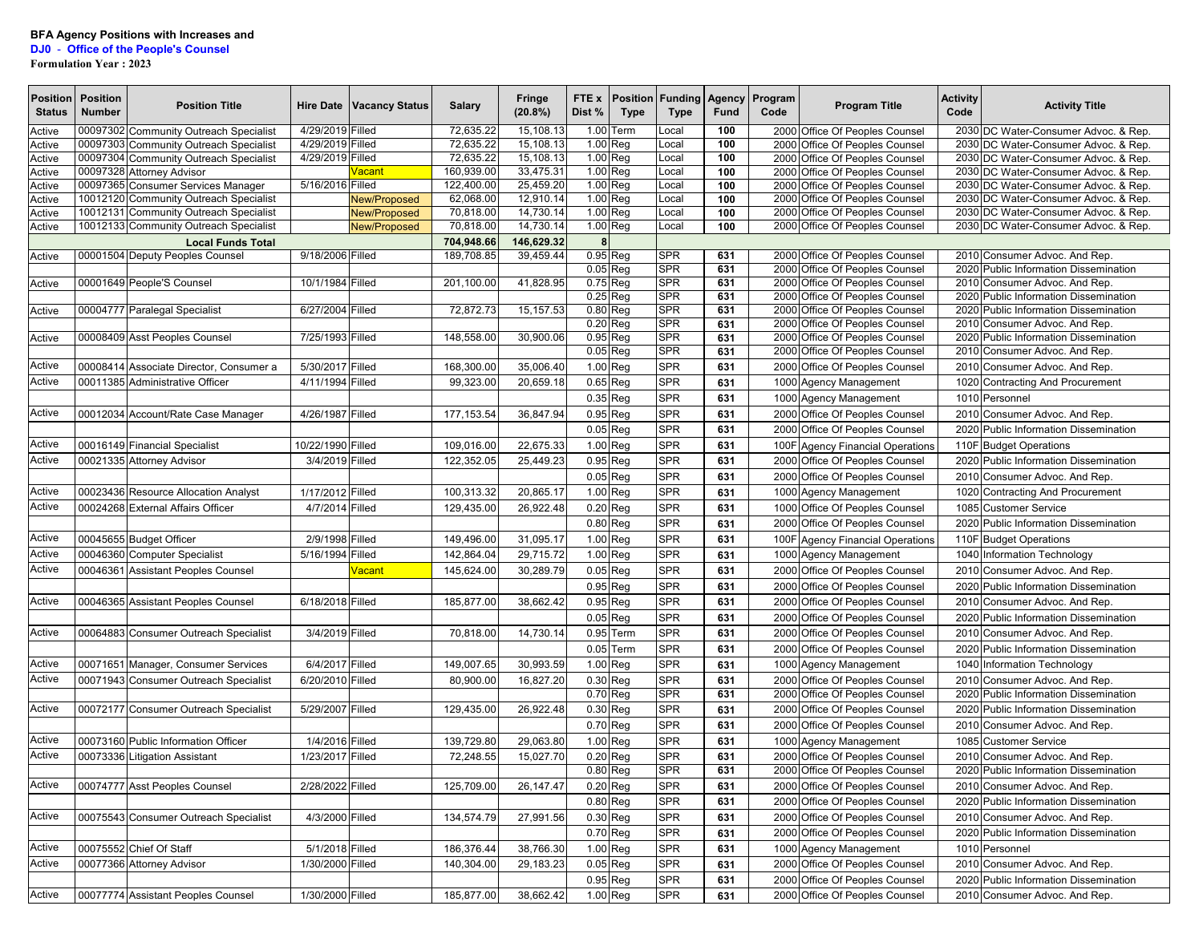## **DJ0** - **Office of the People's Counsel**

**Formulation Year : 2023**

| <b>Position</b><br><b>Status</b> | <b>Position</b><br><b>Number</b> | <b>Position Title</b>                   |                   | Hire Date   Vacancy Status | <b>Salary</b> | Fringe<br>(20.8%) | FTE x<br>Dist %      | Position<br><b>Type</b> | <b>Funding</b><br><b>Type</b> | Agency<br>Fund | Program<br>Code | <b>Program Title</b>                                             | <b>Activity</b><br>Code | <b>Activity Title</b>                                               |
|----------------------------------|----------------------------------|-----------------------------------------|-------------------|----------------------------|---------------|-------------------|----------------------|-------------------------|-------------------------------|----------------|-----------------|------------------------------------------------------------------|-------------------------|---------------------------------------------------------------------|
| Active                           |                                  | 00097302 Community Outreach Specialist  | 4/29/2019 Filled  |                            | 72,635.22     | 15,108.13         |                      | 1.00 Term               | .ocal                         | 100            |                 | 2000 Office Of Peoples Counsel                                   | 2030                    | DC Water-Consumer Advoc. & Rep.                                     |
| Active                           |                                  | 00097303 Community Outreach Specialist  | 4/29/2019 Filled  |                            | 72,635.22     | 15,108.13         | 1.00 Reg             |                         | .ocal                         | 100            |                 | 2000 Office Of Peoples Counsel                                   | 2030                    | DC Water-Consumer Advoc. & Rep.                                     |
| Active                           |                                  | 00097304 Community Outreach Specialist  | 4/29/2019 Filled  |                            | 72,635.22     | 15,108.13         | 1.00 Reg             |                         | .ocal                         | 100            |                 | 2000 Office Of Peoples Counsel                                   |                         | 2030 DC Water-Consumer Advoc. & Rep.                                |
| Active                           |                                  | 00097328 Attorney Advisor               |                   | /acant                     | 160.939.00    | 33,475.31         | 1.00 Reg             |                         | _ocal                         | 100            |                 | 2000 Office Of Peoples Counsel                                   | 2030                    | DC Water-Consumer Advoc. & Rep.                                     |
| Active                           |                                  | 00097365 Consumer Services Manager      | 5/16/2016 Filled  |                            | 122,400.00    | 25,459.20         | 1.00 Reg             |                         | .ocal                         | 100            |                 | 2000 Office Of Peoples Counsel                                   | 2030                    | DC Water-Consumer Advoc. & Rep.                                     |
| Active                           |                                  | 10012120 Community Outreach Specialist  |                   | <b>New/Proposed</b>        | 62,068.00     | 12,910.14         | 1.00 Reg             |                         | _ocal                         | 100            | 2000            | Office Of Peoples Counsel                                        | 2030                    | DC Water-Consumer Advoc. & Rep.                                     |
| Active                           |                                  | 10012131 Community Outreach Specialist  |                   | <b>New/Proposed</b>        | 70,818.00     | 14,730.14         | 1.00 Reg             |                         | _ocal                         | 100            |                 | 2000 Office Of Peoples Counsel                                   |                         | 2030 DC Water-Consumer Advoc. & Rep.                                |
| Active                           |                                  | 10012133 Community Outreach Specialist  |                   | <b>New/Proposed</b>        | 70,818.00     | 14,730.14         | 1.00 Reg             |                         | .ocal                         | 100            |                 | 2000 Office Of Peoples Counsel                                   |                         | 2030 DC Water-Consumer Advoc. & Rep.                                |
|                                  |                                  | <b>Local Funds Total</b>                |                   |                            | 704,948.66    | 146,629.32        | 8                    |                         |                               |                |                 |                                                                  |                         |                                                                     |
| Active                           |                                  | 00001504 Deputy Peoples Counsel         | 9/18/2006 Filled  |                            | 189,708.85    | 39,459.44         | 0.95 Req             |                         | <b>SPR</b>                    | 631            | 2000            | Office Of Peoples Counsel                                        | 2010                    | Consumer Advoc. And Rep.                                            |
|                                  |                                  | 00001649 People'S Counsel               | 10/1/1984 Filled  |                            | 201,100.00    | 41,828.95         | 0.05 Reg<br>0.75 Reg |                         | <b>SPR</b><br><b>SPR</b>      | 631<br>631     |                 | 2000 Office Of Peoples Counsel<br>2000 Office Of Peoples Counsel | 2020<br>2010            | <b>Public Information Dissemination</b><br>Consumer Advoc. And Rep. |
| Active                           |                                  |                                         |                   |                            |               |                   | 0.25 Reg             |                         | <b>SPR</b>                    | 631            | 2000            | Office Of Peoples Counsel                                        | 2020                    | <b>Public Information Dissemination</b>                             |
| Active                           |                                  | 00004777 Paralegal Specialist           | 6/27/2004 Filled  |                            | 72,872.73     | 15, 157.53        | $0.80$ Reg           |                         | <b>SPR</b>                    | 631            | 2000            | Office Of Peoples Counsel                                        | 2020                    | <b>Public Information Dissemination</b>                             |
|                                  |                                  |                                         |                   |                            |               |                   | 0.20 Reg             |                         | <b>SPR</b>                    | 631            |                 | 2000 Office Of Peoples Counsel                                   | 2010                    | Consumer Advoc. And Rep.                                            |
| Active                           |                                  | 00008409 Asst Peoples Counsel           | 7/25/1993 Filled  |                            | 148,558.00    | 30,900.06         | 0.95 Req             |                         | <b>SPR</b>                    | 631            | 2000            | Office Of Peoples Counsel                                        | 2020                    | <b>Public Information Dissemination</b>                             |
|                                  |                                  |                                         |                   |                            |               |                   | $0.05$ Reg           |                         | <b>SPR</b>                    | 631            | 2000            | Office Of Peoples Counsel                                        | 2010                    | Consumer Advoc. And Rep.                                            |
| Active                           |                                  | 00008414 Associate Director, Consumer a | 5/30/2017 Filled  |                            | 168,300.00    | 35,006.40         | 1.00 Reg             |                         | <b>SPR</b>                    | 631            | 2000            | Office Of Peoples Counsel                                        | 2010                    | Consumer Advoc. And Rep.                                            |
| Active                           |                                  | 00011385 Administrative Officer         | 4/11/1994 Filled  |                            | 99,323.00     | 20,659.18         | 0.65 Reg             |                         | <b>SPR</b>                    | 631            | 1000            | <b>Agency Management</b>                                         | 1020                    | <b>Contracting And Procurement</b>                                  |
|                                  |                                  |                                         |                   |                            |               |                   | 0.35 Reg             |                         | <b>SPR</b>                    | 631            |                 | 1000 Agency Management                                           | 1010                    | Personnel                                                           |
| Active                           |                                  |                                         |                   |                            |               |                   | 0.95 Reg             |                         | <b>SPR</b>                    | 631            |                 |                                                                  |                         |                                                                     |
|                                  |                                  | 00012034 Account/Rate Case Manager      | 4/26/1987 Filled  |                            | 177, 153.54   | 36,847.94         |                      |                         |                               |                | 2000            | Office Of Peoples Counsel                                        | 2010                    | Consumer Advoc. And Rep.                                            |
|                                  |                                  |                                         |                   |                            |               |                   | $0.05$ Reg           |                         | <b>SPR</b>                    | 631            | 2000            | Office Of Peoples Counsel                                        | 2020                    | <b>Public Information Dissemination</b>                             |
| Active                           |                                  | 00016149 Financial Specialist           | 10/22/1990 Filled |                            | 109,016.00    | 22,675.33         | 1.00 Reg             |                         | <b>SPR</b>                    | 631            | 100F            | <b>Agency Financial Operations</b>                               | 110F                    | <b>Budget Operations</b>                                            |
| Active                           |                                  | 00021335 Attorney Advisor               | 3/4/2019 Filled   |                            | 122,352.05    | 25,449.23         | 0.95 Reg             |                         | <b>SPR</b>                    | 631            |                 | 2000 Office Of Peoples Counsel                                   |                         | 2020 Public Information Dissemination                               |
|                                  |                                  |                                         |                   |                            |               |                   | 0.05 Reg             |                         | <b>SPR</b>                    | 631            |                 | 2000 Office Of Peoples Counsel                                   |                         | 2010 Consumer Advoc. And Rep.                                       |
| Active                           |                                  | 00023436 Resource Allocation Analyst    | 1/17/2012 Filled  |                            | 100,313.32    | 20,865.17         | 1.00 Reg             |                         | <b>SPR</b>                    | 631            |                 | 1000 Agency Management                                           | 1020                    | <b>Contracting And Procurement</b>                                  |
| Active                           |                                  | 00024268 External Affairs Officer       | 4/7/2014 Filled   |                            | 129,435.00    | 26,922.48         | 0.20 Reg             |                         | <b>SPR</b>                    | 631            | 1000            | Office Of Peoples Counsel                                        | 1085                    | <b>Customer Service</b>                                             |
|                                  |                                  |                                         |                   |                            |               |                   | 0.80 Reg             |                         | <b>SPR</b>                    | 631            | 2000            | Office Of Peoples Counsel                                        | 2020                    | <b>Public Information Dissemination</b>                             |
| Active                           |                                  | 00045655 Budget Officer                 | 2/9/1998 Filled   |                            | 149,496.00    | 31,095.17         | 1.00 Reg             |                         | <b>SPR</b>                    | 631            |                 | 100F Agency Financial Operations                                 | 110F                    | <b>Budget Operations</b>                                            |
| Active                           |                                  | 00046360 Computer Specialist            | 5/16/1994 Filled  |                            | 142,864.04    | 29,715.72         | 1.00 Reg             |                         | <b>SPR</b>                    | 631            | 1000            | <b>Agency Management</b>                                         | 1040                    | Information Technology                                              |
| Active                           | 00046361                         | <b>Assistant Peoples Counsel</b>        |                   | <mark>√acant</mark>        | 145,624.00    | 30,289.79         | $0.05$ Reg           |                         | <b>SPR</b>                    | 631            | 2000            | Office Of Peoples Counsel                                        |                         | 2010 Consumer Advoc. And Rep.                                       |
|                                  |                                  |                                         |                   |                            |               |                   | 0.95 Reg             |                         | <b>SPR</b>                    | 631            |                 | 2000 Office Of Peoples Counsel                                   | 2020                    | Public Information Dissemination                                    |
| Active                           |                                  | 00046365 Assistant Peoples Counsel      | 6/18/2018 Filled  |                            | 185,877.00    | 38,662.42         | 0.95 Reg             |                         | <b>SPR</b>                    | 631            | 2000            | Office Of Peoples Counsel                                        | 2010                    | Consumer Advoc. And Rep.                                            |
|                                  |                                  |                                         |                   |                            |               |                   | $0.05$ Reg           |                         | <b>SPR</b>                    | 631            | 2000            | Office Of Peoples Counsel                                        | 2020                    | <b>Public Information Dissemination</b>                             |
| Active                           |                                  |                                         |                   |                            |               |                   |                      |                         | <b>SPR</b>                    |                |                 |                                                                  |                         |                                                                     |
|                                  |                                  | 00064883 Consumer Outreach Specialist   | 3/4/2019 Filled   |                            | 70,818.00     | 14,730.14         |                      | 0.95 Term               |                               | 631            | 2000            | Office Of Peoples Counsel                                        |                         | 2010 Consumer Advoc. And Rep.                                       |
|                                  |                                  |                                         |                   |                            |               |                   | 0.05 Term            |                         | <b>SPR</b>                    | 631            | 2000            | Office Of Peoples Counsel                                        | 2020                    | <b>Public Information Dissemination</b>                             |
| Active                           |                                  | 00071651 Manager, Consumer Services     | 6/4/2017 Filled   |                            | 149,007.65    | 30,993.59         | 1.00 Reg             |                         | <b>SPR</b>                    | 631            | 1000            | <b>Agency Management</b>                                         | 1040                    | Information Technology                                              |
| Active                           |                                  | 00071943 Consumer Outreach Specialist   | 6/20/2010 Filled  |                            | 80,900.00     | 16,827.20         | 0.30 Reg             |                         | <b>SPR</b>                    | 631            | 2000            | Office Of Peoples Counsel                                        | 2010                    | Consumer Advoc, And Rep.                                            |
|                                  |                                  |                                         |                   |                            |               |                   | 0.70 Reg             |                         | <b>SPR</b>                    | 631            | 2000            | Office Of Peoples Counsel                                        | 2020                    | <b>Public Information Dissemination</b>                             |
| Active                           |                                  | 00072177 Consumer Outreach Specialist   | 5/29/2007 Filled  |                            | 129,435.00    | 26,922.48         | 0.30 Reg             |                         | <b>SPR</b>                    | 631            | 2000            | Office Of Peoples Counsel                                        | 2020                    | <b>Public Information Dissemination</b>                             |
|                                  |                                  |                                         |                   |                            |               |                   | 0.70 Reg             |                         | <b>SPR</b>                    | 631            | 2000            | Office Of Peoples Counsel                                        | 2010                    | Consumer Advoc. And Rep.                                            |
| Active                           |                                  | 00073160 Public Information Officer     | 1/4/2016 Filled   |                            | 139,729.80    | 29,063.80         | 1.00 Reg             |                         | <b>SPR</b>                    | 631            |                 | 1000 Agency Management                                           | 1085                    | <b>Customer Service</b>                                             |
| Active                           |                                  | 00073336 Litigation Assistant           | 1/23/2017 Filled  |                            | 72,248.55     | 15,027.70         | 0.20 Reg             |                         | <b>SPR</b>                    | 631            |                 | 2000 Office Of Peoples Counsel                                   |                         | 2010 Consumer Advoc. And Rep.                                       |
|                                  |                                  |                                         |                   |                            |               |                   | 0.80 Reg             |                         | <b>SPR</b>                    | 631            |                 | 2000 Office Of Peoples Counsel                                   |                         | 2020 Public Information Dissemination                               |
| Active                           |                                  | 00074777 Asst Peoples Counsel           | 2/28/2022 Filled  |                            | 125,709.00    | 26, 147. 47       | 0.20 Reg             |                         | <b>SPR</b>                    | 631            |                 | 2000 Office Of Peoples Counsel                                   |                         | 2010 Consumer Advoc. And Rep.                                       |
|                                  |                                  |                                         |                   |                            |               |                   | 0.80 Reg             |                         | <b>SPR</b>                    | 631            |                 | 2000 Office Of Peoples Counsel                                   |                         | 2020 Public Information Dissemination                               |
| Active                           |                                  | 00075543 Consumer Outreach Specialist   | 4/3/2000 Filled   |                            | 134,574.79    | 27,991.56         | 0.30 Reg             |                         | <b>SPR</b>                    | 631            |                 | 2000 Office Of Peoples Counsel                                   |                         | 2010 Consumer Advoc. And Rep.                                       |
|                                  |                                  |                                         |                   |                            |               |                   | 0.70 Reg             |                         | <b>SPR</b>                    | 631            |                 | 2000 Office Of Peoples Counsel                                   |                         | 2020 Public Information Dissemination                               |
| Active                           |                                  | 00075552 Chief Of Staff                 | 5/1/2018 Filled   |                            | 186,376.44    | 38,766.30         | 1.00 Reg             |                         | <b>SPR</b>                    | 631            |                 | 1000 Agency Management                                           |                         | 1010 Personnel                                                      |
| Active                           |                                  | 00077366 Attorney Advisor               | 1/30/2000 Filled  |                            | 140,304.00    | 29,183.23         | $0.05$ Reg           |                         | <b>SPR</b>                    | 631            |                 | 2000 Office Of Peoples Counsel                                   |                         | 2010 Consumer Advoc. And Rep.                                       |
|                                  |                                  |                                         |                   |                            |               |                   | 0.95 Reg             |                         | <b>SPR</b>                    | 631            |                 | 2000 Office Of Peoples Counsel                                   |                         | 2020 Public Information Dissemination                               |
| Active                           |                                  | 00077774 Assistant Peoples Counsel      | 1/30/2000 Filled  |                            | 185,877.00    | 38,662.42         |                      |                         | SPR                           | 631            |                 | 2000 Office Of Peoples Counsel                                   |                         | 2010 Consumer Advoc. And Rep.                                       |
|                                  |                                  |                                         |                   |                            |               |                   | 1.00 Reg             |                         |                               |                |                 |                                                                  |                         |                                                                     |